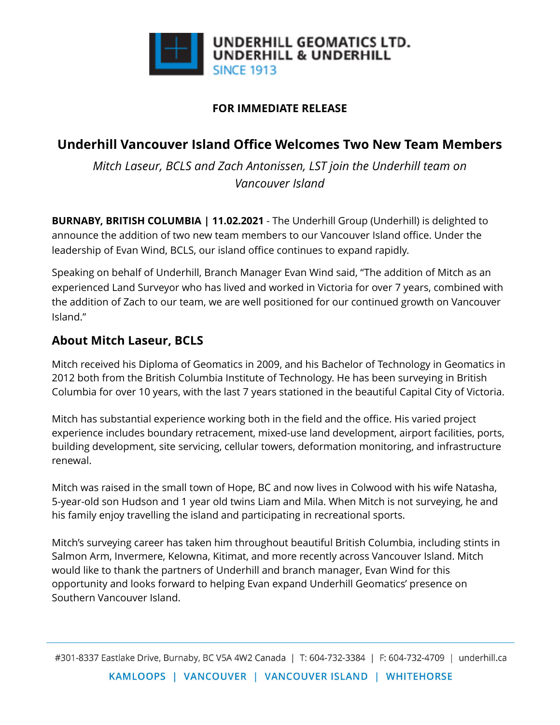

#### **FOR IMMEDIATE RELEASE**

# **Underhill Vancouver Island Office Welcomes Two New Team Members**

*Mitch Laseur, BCLS and Zach Antonissen, LST join the Underhill team on Vancouver Island*

**BURNABY, BRITISH COLUMBIA | 11.02.2021** - The Underhill Group (Underhill) is delighted to announce the addition of two new team members to our Vancouver Island office. Under the leadership of Evan Wind, BCLS, our island office continues to expand rapidly.

Speaking on behalf of Underhill, Branch Manager Evan Wind said, "The addition of Mitch as an experienced Land Surveyor who has lived and worked in Victoria for over 7 years, combined with the addition of Zach to our team, we are well positioned for our continued growth on Vancouver Island."

## **About Mitch Laseur, BCLS**

Mitch received his Diploma of Geomatics in 2009, and his Bachelor of Technology in Geomatics in 2012 both from the British Columbia Institute of Technology. He has been surveying in British Columbia for over 10 years, with the last 7 years stationed in the beautiful Capital City of Victoria.

Mitch has substantial experience working both in the field and the office. His varied project experience includes boundary retracement, mixed-use land development, airport facilities, ports, building development, site servicing, cellular towers, deformation monitoring, and infrastructure renewal.

Mitch was raised in the small town of Hope, BC and now lives in Colwood with his wife Natasha, 5-year-old son Hudson and 1 year old twins Liam and Mila. When Mitch is not surveying, he and his family enjoy travelling the island and participating in recreational sports.

Mitch's surveying career has taken him throughout beautiful British Columbia, including stints in Salmon Arm, Invermere, Kelowna, Kitimat, and more recently across Vancouver Island. Mitch would like to thank the partners of Underhill and branch manager, Evan Wind for this opportunity and looks forward to helping Evan expand Underhill Geomatics' presence on Southern Vancouver Island.

#301-8337 Eastlake Drive, Burnaby, BC V5A 4W2 Canada | T: 604-732-3384 | F: 604-732-4709 | underhill.ca KAMLOOPS | VANCOUVER | VANCOUVER ISLAND | WHITEHORSE